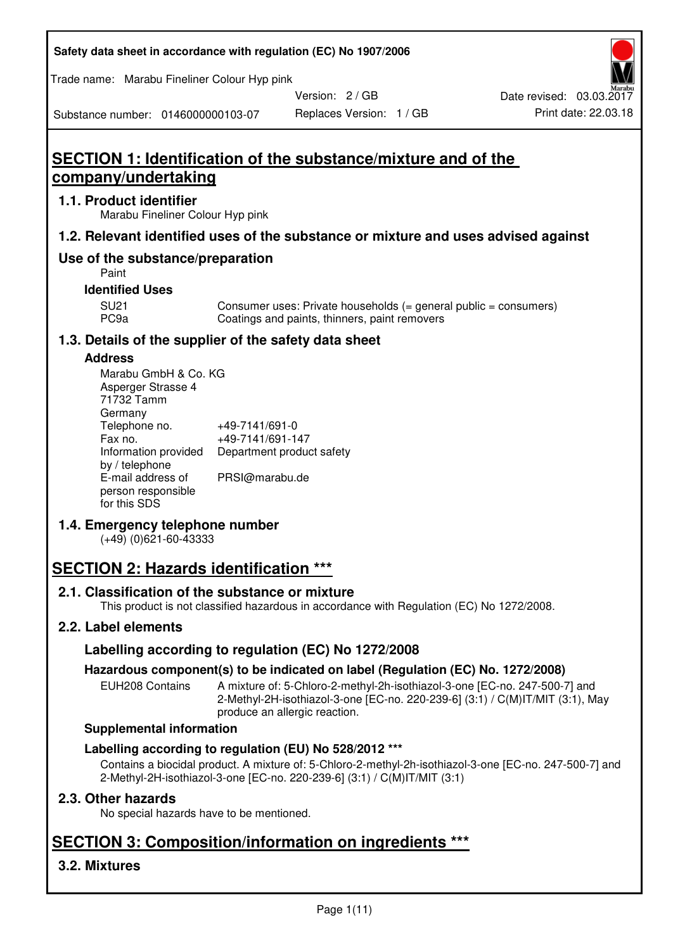| Safety data sheet in accordance with regulation (EC) No 1907/2006 |  |
|-------------------------------------------------------------------|--|
|-------------------------------------------------------------------|--|

Trade name: Marabu Fineliner Colour Hyp pink

Version: 2 / GB

Replaces Version: 1 / GB Print date: 22.03.18 Date revised: 03.03.2017

Substance number: 0146000000103-07

# **SECTION 1: Identification of the substance/mixture and of the company/undertaking**

## **1.1. Product identifier**

Marabu Fineliner Colour Hyp pink

## **1.2. Relevant identified uses of the substance or mixture and uses advised against**

## **Use of the substance/preparation**

Paint

### **Identified Uses**

SU21 Consumer uses: Private households (= general public = consumers)<br>PC9a Coatings and paints, thinners, paint removers Coatings and paints, thinners, paint removers

## **1.3. Details of the supplier of the safety data sheet**

## **Address**

| Marabu GmbH & Co. KG |                           |
|----------------------|---------------------------|
| Asperger Strasse 4   |                           |
| 71732 Tamm           |                           |
| Germany              |                           |
| Telephone no.        | +49-7141/691-0            |
| Fax no.              | +49-7141/691-147          |
| Information provided | Department product safety |
| by / telephone       |                           |
| E-mail address of    | PRSI@marabu.de            |
| person responsible   |                           |
| for this SDS         |                           |

## **1.4. Emergency telephone number**

(+49) (0)621-60-43333

# **SECTION 2: Hazards identification \*\*\***

## **2.1. Classification of the substance or mixture**

This product is not classified hazardous in accordance with Regulation (EC) No 1272/2008.

## **2.2. Label elements**

## **Labelling according to regulation (EC) No 1272/2008**

## **Hazardous component(s) to be indicated on label (Regulation (EC) No. 1272/2008)**

EUH208 Contains A mixture of: 5-Chloro-2-methyl-2h-isothiazol-3-one [EC-no. 247-500-7] and 2-Methyl-2H-isothiazol-3-one [EC-no. 220-239-6] (3:1) / C(M)IT/MIT (3:1), May produce an allergic reaction.

#### **Supplemental information**

## **Labelling according to regulation (EU) No 528/2012 \*\*\***

Contains a biocidal product. A mixture of: 5-Chloro-2-methyl-2h-isothiazol-3-one [EC-no. 247-500-7] and 2-Methyl-2H-isothiazol-3-one [EC-no. 220-239-6] (3:1) / C(M)IT/MIT (3:1)

## **2.3. Other hazards**

No special hazards have to be mentioned.

# **SECTION 3: Composition/information on ingredients \*\*\***

## **3.2. Mixtures**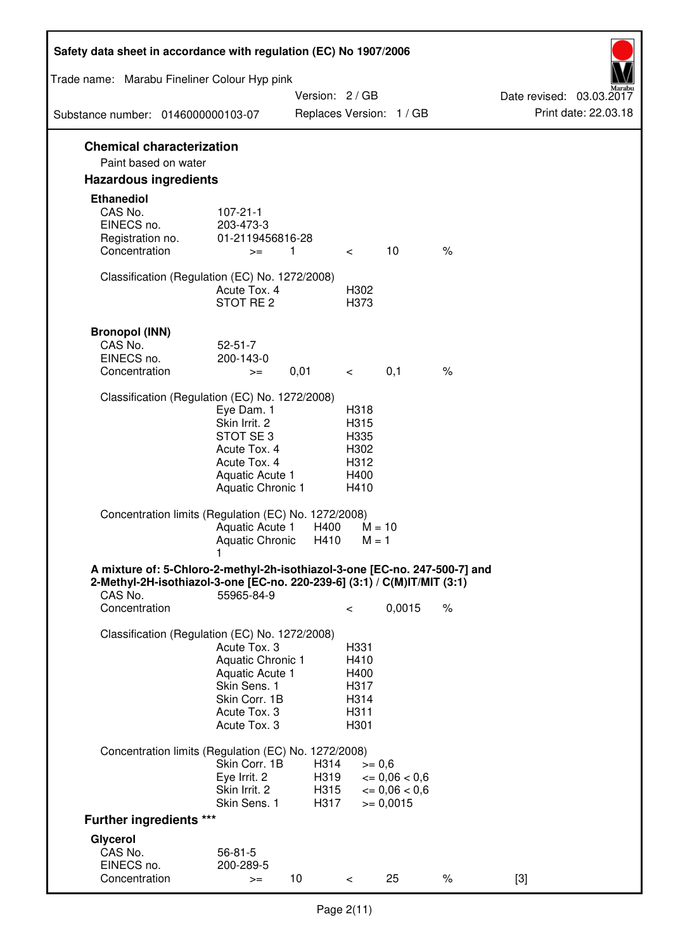| Safety data sheet in accordance with regulation (EC) No 1907/2006                                                                                                 |                                                                                                                             |                              |                                                      |                                                         |      |                                                  |
|-------------------------------------------------------------------------------------------------------------------------------------------------------------------|-----------------------------------------------------------------------------------------------------------------------------|------------------------------|------------------------------------------------------|---------------------------------------------------------|------|--------------------------------------------------|
| Trade name: Marabu Fineliner Colour Hyp pink                                                                                                                      |                                                                                                                             |                              |                                                      |                                                         |      |                                                  |
| Substance number: 0146000000103-07                                                                                                                                |                                                                                                                             | Version: 2 / GB              |                                                      | Replaces Version: 1 / GB                                |      | Date revised: 03.03.2017<br>Print date: 22.03.18 |
|                                                                                                                                                                   |                                                                                                                             |                              |                                                      |                                                         |      |                                                  |
| <b>Chemical characterization</b><br>Paint based on water                                                                                                          |                                                                                                                             |                              |                                                      |                                                         |      |                                                  |
| <b>Hazardous ingredients</b>                                                                                                                                      |                                                                                                                             |                              |                                                      |                                                         |      |                                                  |
| <b>Ethanediol</b><br>CAS No.<br>EINECS no.<br>Registration no.<br>Concentration                                                                                   | $107 - 21 - 1$<br>203-473-3<br>01-2119456816-28<br>$>=$                                                                     | 1                            | $\lt$                                                | 10                                                      | $\%$ |                                                  |
|                                                                                                                                                                   |                                                                                                                             |                              |                                                      |                                                         |      |                                                  |
| Classification (Regulation (EC) No. 1272/2008)                                                                                                                    | Acute Tox, 4<br>STOT RE <sub>2</sub>                                                                                        |                              | H302<br>H373                                         |                                                         |      |                                                  |
| <b>Bronopol (INN)</b><br>CAS No.<br>EINECS no.<br>Concentration                                                                                                   | $52 - 51 - 7$<br>200-143-0<br>$>=$                                                                                          | 0,01                         | $\lt$                                                | 0,1                                                     | $\%$ |                                                  |
| Classification (Regulation (EC) No. 1272/2008)                                                                                                                    |                                                                                                                             |                              |                                                      |                                                         |      |                                                  |
|                                                                                                                                                                   | Eye Dam. 1<br>Skin Irrit. 2<br>STOT SE <sub>3</sub><br>Acute Tox. 4<br>Acute Tox. 4<br>Aquatic Acute 1<br>Aquatic Chronic 1 |                              | H318<br>H315<br>H335<br>H302<br>H312<br>H400<br>H410 |                                                         |      |                                                  |
| Concentration limits (Regulation (EC) No. 1272/2008)                                                                                                              | Aquatic Acute 1<br><b>Aquatic Chronic</b><br>1                                                                              | H400<br>H410                 | $M = 10$<br>$M = 1$                                  |                                                         |      |                                                  |
| A mixture of: 5-Chloro-2-methyl-2h-isothiazol-3-one [EC-no. 247-500-7] and<br>2-Methyl-2H-isothiazol-3-one [EC-no. 220-239-6] (3:1) / C(M)IT/MIT (3:1)<br>CAS No. | 55965-84-9                                                                                                                  |                              |                                                      |                                                         |      |                                                  |
| Concentration                                                                                                                                                     |                                                                                                                             |                              | $\,<\,$                                              | 0,0015                                                  | $\%$ |                                                  |
| Classification (Regulation (EC) No. 1272/2008)                                                                                                                    | Acute Tox. 3<br>Aquatic Chronic 1<br>Aquatic Acute 1<br>Skin Sens. 1<br>Skin Corr. 1B<br>Acute Tox. 3<br>Acute Tox. 3       |                              | H331<br>H410<br>H400<br>H317<br>H314<br>H311<br>H301 |                                                         |      |                                                  |
| Concentration limits (Regulation (EC) No. 1272/2008)                                                                                                              |                                                                                                                             |                              |                                                      |                                                         |      |                                                  |
|                                                                                                                                                                   | Skin Corr. 1B<br>Eye Irrit. 2<br>Skin Irrit. 2<br>Skin Sens. 1                                                              | H314<br>H319<br>H315<br>H317 | $>= 0,6$                                             | $= 0,06 < 0,6$<br>$\epsilon = 0.06 < 0.6$<br>$= 0,0015$ |      |                                                  |
| <b>Further ingredients ***</b>                                                                                                                                    |                                                                                                                             |                              |                                                      |                                                         |      |                                                  |
| Glycerol<br>CAS No.<br>EINECS no.<br>Concentration                                                                                                                | $56 - 81 - 5$<br>200-289-5<br>$>=$                                                                                          | 10                           | $\,<\,$                                              | 25                                                      | $\%$ | $[3]$                                            |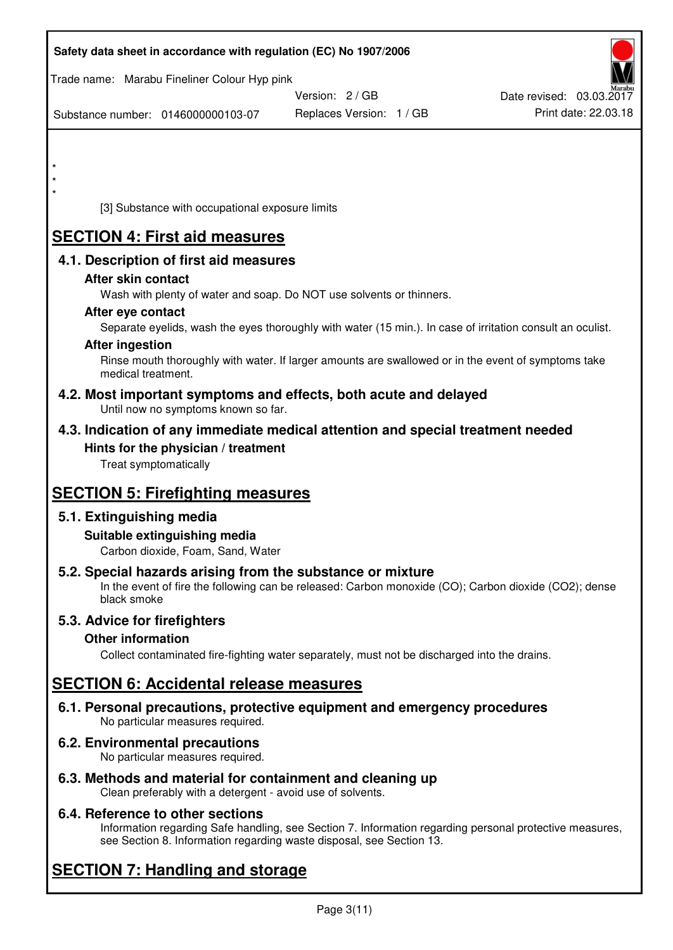| Safety data sheet in accordance with regulation (EC) No 1907/2006                                                       |                                                                                                            |                                                  |
|-------------------------------------------------------------------------------------------------------------------------|------------------------------------------------------------------------------------------------------------|--------------------------------------------------|
| Trade name: Marabu Fineliner Colour Hyp pink                                                                            |                                                                                                            |                                                  |
|                                                                                                                         | Version: 2 / GB                                                                                            | Date revised: 03.03.2017<br>Print date: 22.03.18 |
| Substance number: 0146000000103-07                                                                                      | Replaces Version: 1 / GB                                                                                   |                                                  |
|                                                                                                                         |                                                                                                            |                                                  |
| $\star$                                                                                                                 |                                                                                                            |                                                  |
| $\star$<br>$\star$                                                                                                      |                                                                                                            |                                                  |
| [3] Substance with occupational exposure limits                                                                         |                                                                                                            |                                                  |
| <b>SECTION 4: First aid measures</b>                                                                                    |                                                                                                            |                                                  |
| 4.1. Description of first aid measures                                                                                  |                                                                                                            |                                                  |
| After skin contact                                                                                                      |                                                                                                            |                                                  |
| Wash with plenty of water and soap. Do NOT use solvents or thinners.<br>After eye contact                               |                                                                                                            |                                                  |
|                                                                                                                         | Separate eyelids, wash the eyes thoroughly with water (15 min.). In case of irritation consult an oculist. |                                                  |
| <b>After ingestion</b>                                                                                                  |                                                                                                            |                                                  |
| medical treatment.                                                                                                      | Rinse mouth thoroughly with water. If larger amounts are swallowed or in the event of symptoms take        |                                                  |
| 4.2. Most important symptoms and effects, both acute and delayed<br>Until now no symptoms known so far.                 |                                                                                                            |                                                  |
| 4.3. Indication of any immediate medical attention and special treatment needed                                         |                                                                                                            |                                                  |
| Hints for the physician / treatment<br>Treat symptomatically                                                            |                                                                                                            |                                                  |
| <b>SECTION 5: Firefighting measures</b>                                                                                 |                                                                                                            |                                                  |
| 5.1. Extinguishing media                                                                                                |                                                                                                            |                                                  |
| Suitable extinguishing media<br>Carbon dioxide, Foam, Sand, Water                                                       |                                                                                                            |                                                  |
| 5.2. Special hazards arising from the substance or mixture<br>black smoke                                               | In the event of fire the following can be released: Carbon monoxide (CO); Carbon dioxide (CO2); dense      |                                                  |
| 5.3. Advice for firefighters                                                                                            |                                                                                                            |                                                  |
| <b>Other information</b>                                                                                                |                                                                                                            |                                                  |
|                                                                                                                         | Collect contaminated fire-fighting water separately, must not be discharged into the drains.               |                                                  |
| <b>SECTION 6: Accidental release measures</b>                                                                           |                                                                                                            |                                                  |
| 6.1. Personal precautions, protective equipment and emergency procedures<br>No particular measures required.            |                                                                                                            |                                                  |
| 6.2. Environmental precautions<br>No particular measures required.                                                      |                                                                                                            |                                                  |
| 6.3. Methods and material for containment and cleaning up<br>Clean preferably with a detergent - avoid use of solvents. |                                                                                                            |                                                  |

## **6.4. Reference to other sections**

Information regarding Safe handling, see Section 7. Information regarding personal protective measures, see Section 8. Information regarding waste disposal, see Section 13.

# **SECTION 7: Handling and storage**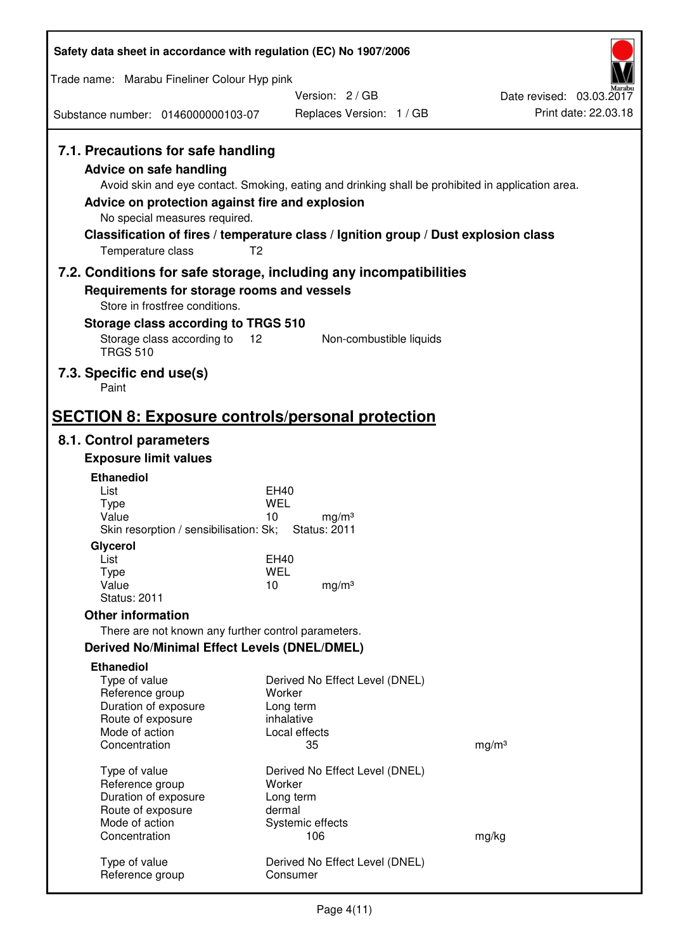| Safety data sheet in accordance with regulation (EC) No 1907/2006                                                                                                                                                                                                                                                                                                  |                                                |                                |                          |  |
|--------------------------------------------------------------------------------------------------------------------------------------------------------------------------------------------------------------------------------------------------------------------------------------------------------------------------------------------------------------------|------------------------------------------------|--------------------------------|--------------------------|--|
| Trade name: Marabu Fineliner Colour Hyp pink                                                                                                                                                                                                                                                                                                                       |                                                |                                |                          |  |
|                                                                                                                                                                                                                                                                                                                                                                    | Version: 2/GB                                  |                                | Date revised: 03.03.2017 |  |
| Substance number: 0146000000103-07                                                                                                                                                                                                                                                                                                                                 |                                                | Replaces Version: 1 / GB       | Print date: 22.03.18     |  |
| 7.1. Precautions for safe handling<br>Advice on safe handling<br>Avoid skin and eye contact. Smoking, eating and drinking shall be prohibited in application area.<br>Advice on protection against fire and explosion<br>No special measures required.<br>Classification of fires / temperature class / Ignition group / Dust explosion class<br>Temperature class | T <sub>2</sub>                                 |                                |                          |  |
| 7.2. Conditions for safe storage, including any incompatibilities                                                                                                                                                                                                                                                                                                  |                                                |                                |                          |  |
| Requirements for storage rooms and vessels<br>Store in frostfree conditions.                                                                                                                                                                                                                                                                                       |                                                |                                |                          |  |
| Storage class according to TRGS 510                                                                                                                                                                                                                                                                                                                                |                                                |                                |                          |  |
| Storage class according to<br><b>TRGS 510</b>                                                                                                                                                                                                                                                                                                                      | 12                                             | Non-combustible liquids        |                          |  |
| 7.3. Specific end use(s)<br>Paint                                                                                                                                                                                                                                                                                                                                  |                                                |                                |                          |  |
| <b>SECTION 8: Exposure controls/personal protection</b>                                                                                                                                                                                                                                                                                                            |                                                |                                |                          |  |
| 8.1. Control parameters                                                                                                                                                                                                                                                                                                                                            |                                                |                                |                          |  |
| <b>Exposure limit values</b>                                                                                                                                                                                                                                                                                                                                       |                                                |                                |                          |  |
| <b>Ethanediol</b><br>List                                                                                                                                                                                                                                                                                                                                          | EH40                                           |                                |                          |  |
| <b>Type</b>                                                                                                                                                                                                                                                                                                                                                        | <b>WEL</b>                                     |                                |                          |  |
| Value<br>Skin resorption / sensibilisation: Sk;                                                                                                                                                                                                                                                                                                                    | 10<br>mg/m <sup>3</sup><br><b>Status: 2011</b> |                                |                          |  |
| Glycerol                                                                                                                                                                                                                                                                                                                                                           |                                                |                                |                          |  |
| List<br><b>Type</b>                                                                                                                                                                                                                                                                                                                                                | EH40<br><b>WEL</b>                             |                                |                          |  |
| Value                                                                                                                                                                                                                                                                                                                                                              | 10<br>mg/m <sup>3</sup>                        |                                |                          |  |
| <b>Status: 2011</b>                                                                                                                                                                                                                                                                                                                                                |                                                |                                |                          |  |
| <b>Other information</b>                                                                                                                                                                                                                                                                                                                                           |                                                |                                |                          |  |
| There are not known any further control parameters.<br><b>Derived No/Minimal Effect Levels (DNEL/DMEL)</b>                                                                                                                                                                                                                                                         |                                                |                                |                          |  |
| <b>Ethanediol</b>                                                                                                                                                                                                                                                                                                                                                  |                                                |                                |                          |  |
| Type of value                                                                                                                                                                                                                                                                                                                                                      |                                                | Derived No Effect Level (DNEL) |                          |  |
| Reference group                                                                                                                                                                                                                                                                                                                                                    | Worker                                         |                                |                          |  |
| Duration of exposure<br>Route of exposure                                                                                                                                                                                                                                                                                                                          | Long term<br>inhalative                        |                                |                          |  |
| Mode of action                                                                                                                                                                                                                                                                                                                                                     | Local effects                                  |                                |                          |  |
| Concentration                                                                                                                                                                                                                                                                                                                                                      | 35                                             |                                | mg/m <sup>3</sup>        |  |
| Type of value                                                                                                                                                                                                                                                                                                                                                      |                                                | Derived No Effect Level (DNEL) |                          |  |
| Reference group<br>Duration of exposure                                                                                                                                                                                                                                                                                                                            | Worker<br>Long term                            |                                |                          |  |
| Route of exposure                                                                                                                                                                                                                                                                                                                                                  | dermal                                         |                                |                          |  |
| Mode of action                                                                                                                                                                                                                                                                                                                                                     | Systemic effects                               |                                |                          |  |
| Concentration                                                                                                                                                                                                                                                                                                                                                      | 106                                            |                                | mg/kg                    |  |
| Type of value<br>Reference group                                                                                                                                                                                                                                                                                                                                   | Consumer                                       | Derived No Effect Level (DNEL) |                          |  |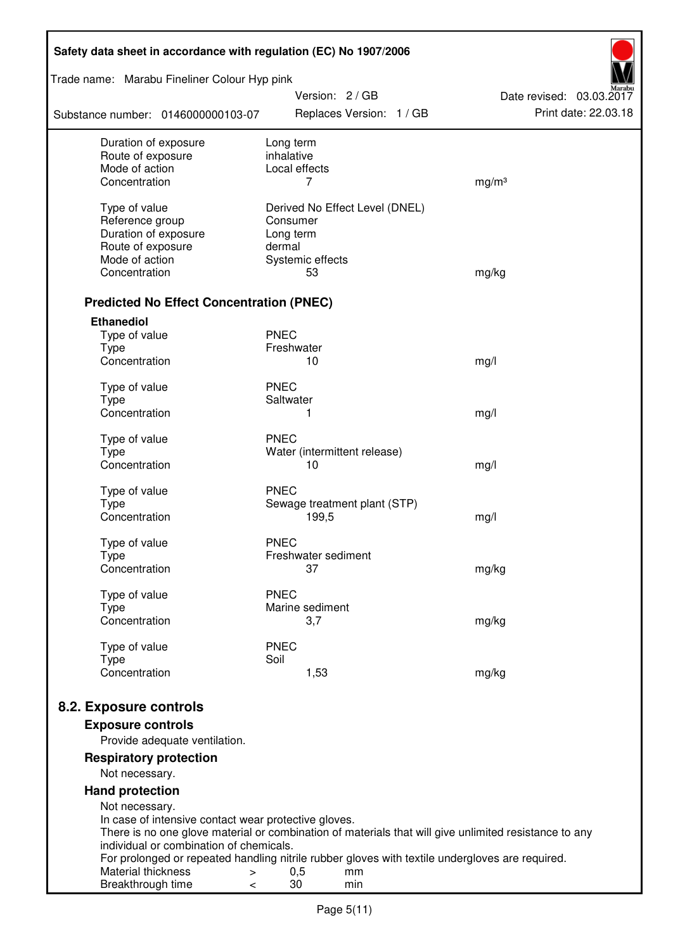| Safety data sheet in accordance with regulation (EC) No 1907/2006 |                                                                                                       |                                                  |  |  |  |
|-------------------------------------------------------------------|-------------------------------------------------------------------------------------------------------|--------------------------------------------------|--|--|--|
| Trade name: Marabu Fineliner Colour Hyp pink                      |                                                                                                       |                                                  |  |  |  |
| Substance number: 0146000000103-07                                | Version: 2 / GB<br>Replaces Version: 1 / GB                                                           | Date revised: 03.03.2017<br>Print date: 22.03.18 |  |  |  |
| Duration of exposure                                              | Long term                                                                                             |                                                  |  |  |  |
| Route of exposure<br>Mode of action                               | inhalative<br>Local effects                                                                           |                                                  |  |  |  |
| Concentration                                                     | 7                                                                                                     | mg/m <sup>3</sup>                                |  |  |  |
| Type of value                                                     | Derived No Effect Level (DNEL)                                                                        |                                                  |  |  |  |
| Reference group                                                   | Consumer                                                                                              |                                                  |  |  |  |
| Duration of exposure                                              | Long term                                                                                             |                                                  |  |  |  |
| Route of exposure                                                 | dermal                                                                                                |                                                  |  |  |  |
| Mode of action                                                    | Systemic effects                                                                                      |                                                  |  |  |  |
| Concentration                                                     | 53                                                                                                    | mg/kg                                            |  |  |  |
| <b>Predicted No Effect Concentration (PNEC)</b>                   |                                                                                                       |                                                  |  |  |  |
| <b>Ethanediol</b>                                                 |                                                                                                       |                                                  |  |  |  |
| Type of value                                                     | <b>PNEC</b>                                                                                           |                                                  |  |  |  |
| <b>Type</b>                                                       | Freshwater                                                                                            |                                                  |  |  |  |
| Concentration                                                     | 10                                                                                                    | mg/l                                             |  |  |  |
| Type of value                                                     | <b>PNEC</b>                                                                                           |                                                  |  |  |  |
| <b>Type</b>                                                       | Saltwater                                                                                             |                                                  |  |  |  |
| Concentration                                                     | 1                                                                                                     | mg/l                                             |  |  |  |
| Type of value                                                     | <b>PNEC</b>                                                                                           |                                                  |  |  |  |
| <b>Type</b>                                                       | Water (intermittent release)                                                                          |                                                  |  |  |  |
| Concentration                                                     | 10                                                                                                    | mg/l                                             |  |  |  |
| Type of value                                                     | <b>PNEC</b>                                                                                           |                                                  |  |  |  |
| <b>Type</b>                                                       | Sewage treatment plant (STP)                                                                          |                                                  |  |  |  |
| Concentration                                                     | 199,5                                                                                                 | mg/l                                             |  |  |  |
| Type of value                                                     | <b>PNEC</b>                                                                                           |                                                  |  |  |  |
| Type                                                              | Freshwater sediment                                                                                   |                                                  |  |  |  |
| Concentration                                                     | 37                                                                                                    | mg/kg                                            |  |  |  |
| Type of value                                                     | <b>PNEC</b>                                                                                           |                                                  |  |  |  |
| Type                                                              | Marine sediment                                                                                       |                                                  |  |  |  |
| Concentration                                                     | 3,7                                                                                                   | mg/kg                                            |  |  |  |
| Type of value                                                     | <b>PNEC</b>                                                                                           |                                                  |  |  |  |
| <b>Type</b>                                                       | Soil                                                                                                  |                                                  |  |  |  |
| Concentration                                                     | 1,53                                                                                                  | mg/kg                                            |  |  |  |
| 8.2. Exposure controls                                            |                                                                                                       |                                                  |  |  |  |
| <b>Exposure controls</b>                                          |                                                                                                       |                                                  |  |  |  |
| Provide adequate ventilation.                                     |                                                                                                       |                                                  |  |  |  |
| <b>Respiratory protection</b>                                     |                                                                                                       |                                                  |  |  |  |
| Not necessary.                                                    |                                                                                                       |                                                  |  |  |  |
| <b>Hand protection</b>                                            |                                                                                                       |                                                  |  |  |  |
| Not necessary.                                                    |                                                                                                       |                                                  |  |  |  |
| In case of intensive contact wear protective gloves.              | There is no one glove material or combination of materials that will give unlimited resistance to any |                                                  |  |  |  |
| individual or combination of chemicals.                           |                                                                                                       |                                                  |  |  |  |
|                                                                   | For prolonged or repeated handling nitrile rubber gloves with textile undergloves are required.       |                                                  |  |  |  |
| Material thickness<br>$\, > \,$                                   | 0,5<br>mm                                                                                             |                                                  |  |  |  |
| Breakthrough time<br>$\,<\,$                                      | 30<br>min                                                                                             |                                                  |  |  |  |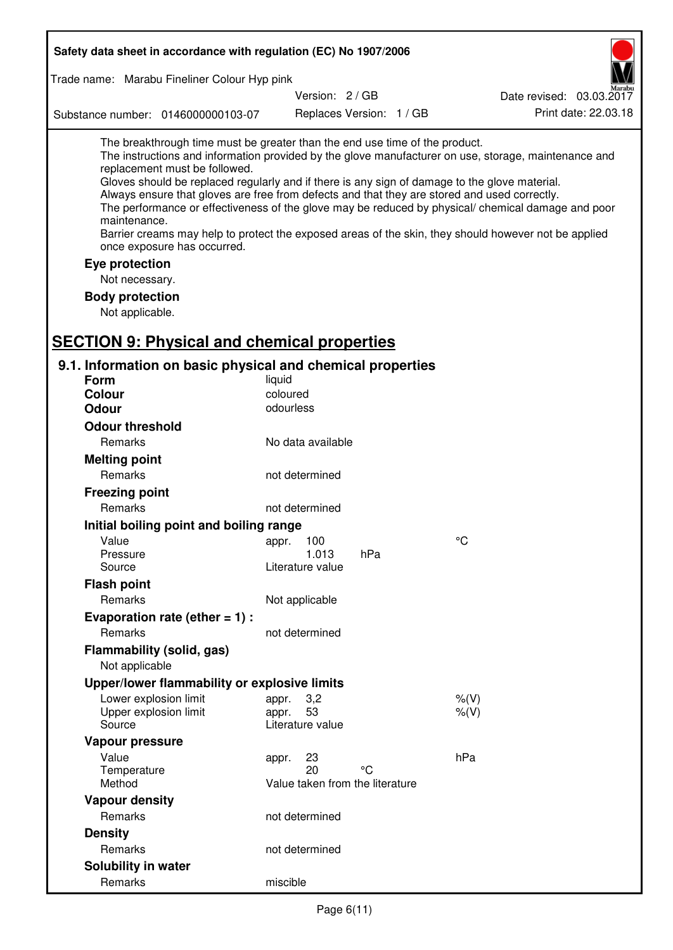| Safety data sheet in accordance with regulation (EC) No 1907/2006                                                                                                                                                                                                                                                                                                                                                                             |                                                      |                          |                                                                                                                                                                                                                                                                                                                    |
|-----------------------------------------------------------------------------------------------------------------------------------------------------------------------------------------------------------------------------------------------------------------------------------------------------------------------------------------------------------------------------------------------------------------------------------------------|------------------------------------------------------|--------------------------|--------------------------------------------------------------------------------------------------------------------------------------------------------------------------------------------------------------------------------------------------------------------------------------------------------------------|
| Trade name: Marabu Fineliner Colour Hyp pink                                                                                                                                                                                                                                                                                                                                                                                                  |                                                      |                          |                                                                                                                                                                                                                                                                                                                    |
|                                                                                                                                                                                                                                                                                                                                                                                                                                               | Version: 2 / GB                                      |                          | Date revised: 03.03.2017                                                                                                                                                                                                                                                                                           |
| Substance number: 0146000000103-07                                                                                                                                                                                                                                                                                                                                                                                                            |                                                      | Replaces Version: 1 / GB | Print date: 22.03.18                                                                                                                                                                                                                                                                                               |
| The breakthrough time must be greater than the end use time of the product.<br>replacement must be followed.<br>Gloves should be replaced regularly and if there is any sign of damage to the glove material.<br>Always ensure that gloves are free from defects and that they are stored and used correctly.<br>maintenance.<br>once exposure has occurred.<br>Eye protection<br>Not necessary.<br><b>Body protection</b><br>Not applicable. |                                                      |                          | The instructions and information provided by the glove manufacturer on use, storage, maintenance and<br>The performance or effectiveness of the glove may be reduced by physical/ chemical damage and poor<br>Barrier creams may help to protect the exposed areas of the skin, they should however not be applied |
| <b>SECTION 9: Physical and chemical properties</b>                                                                                                                                                                                                                                                                                                                                                                                            |                                                      |                          |                                                                                                                                                                                                                                                                                                                    |
| 9.1. Information on basic physical and chemical properties                                                                                                                                                                                                                                                                                                                                                                                    |                                                      |                          |                                                                                                                                                                                                                                                                                                                    |
| <b>Form</b><br><b>Colour</b>                                                                                                                                                                                                                                                                                                                                                                                                                  | liquid<br>coloured                                   |                          |                                                                                                                                                                                                                                                                                                                    |
| <b>Odour</b>                                                                                                                                                                                                                                                                                                                                                                                                                                  | odourless                                            |                          |                                                                                                                                                                                                                                                                                                                    |
| <b>Odour threshold</b>                                                                                                                                                                                                                                                                                                                                                                                                                        |                                                      |                          |                                                                                                                                                                                                                                                                                                                    |
| Remarks                                                                                                                                                                                                                                                                                                                                                                                                                                       | No data available                                    |                          |                                                                                                                                                                                                                                                                                                                    |
| <b>Melting point</b>                                                                                                                                                                                                                                                                                                                                                                                                                          |                                                      |                          |                                                                                                                                                                                                                                                                                                                    |
| Remarks                                                                                                                                                                                                                                                                                                                                                                                                                                       | not determined                                       |                          |                                                                                                                                                                                                                                                                                                                    |
| <b>Freezing point</b>                                                                                                                                                                                                                                                                                                                                                                                                                         |                                                      |                          |                                                                                                                                                                                                                                                                                                                    |
| Remarks                                                                                                                                                                                                                                                                                                                                                                                                                                       | not determined                                       |                          |                                                                                                                                                                                                                                                                                                                    |
| Initial boiling point and boiling range                                                                                                                                                                                                                                                                                                                                                                                                       |                                                      |                          |                                                                                                                                                                                                                                                                                                                    |
| Value                                                                                                                                                                                                                                                                                                                                                                                                                                         | 100<br>appr.                                         |                          | °C                                                                                                                                                                                                                                                                                                                 |
| Pressure                                                                                                                                                                                                                                                                                                                                                                                                                                      | 1.013                                                | hPa                      |                                                                                                                                                                                                                                                                                                                    |
| Source                                                                                                                                                                                                                                                                                                                                                                                                                                        | Literature value                                     |                          |                                                                                                                                                                                                                                                                                                                    |
| <b>Flash point</b>                                                                                                                                                                                                                                                                                                                                                                                                                            |                                                      |                          |                                                                                                                                                                                                                                                                                                                    |
| Remarks                                                                                                                                                                                                                                                                                                                                                                                                                                       | Not applicable                                       |                          |                                                                                                                                                                                                                                                                                                                    |
| Evaporation rate (ether $= 1$ ) :                                                                                                                                                                                                                                                                                                                                                                                                             |                                                      |                          |                                                                                                                                                                                                                                                                                                                    |
| Remarks                                                                                                                                                                                                                                                                                                                                                                                                                                       | not determined                                       |                          |                                                                                                                                                                                                                                                                                                                    |
| Flammability (solid, gas)<br>Not applicable                                                                                                                                                                                                                                                                                                                                                                                                   |                                                      |                          |                                                                                                                                                                                                                                                                                                                    |
| Upper/lower flammability or explosive limits                                                                                                                                                                                                                                                                                                                                                                                                  |                                                      |                          |                                                                                                                                                                                                                                                                                                                    |
| Lower explosion limit<br>Upper explosion limit<br>Source                                                                                                                                                                                                                                                                                                                                                                                      | 3,2<br>appr.<br>53<br>appr.<br>Literature value      |                          | $%$ (V)<br>$%$ (V)                                                                                                                                                                                                                                                                                                 |
| Vapour pressure                                                                                                                                                                                                                                                                                                                                                                                                                               |                                                      |                          |                                                                                                                                                                                                                                                                                                                    |
| Value<br>Temperature<br>Method                                                                                                                                                                                                                                                                                                                                                                                                                | 23<br>appr.<br>20<br>Value taken from the literature | °C                       | hPa                                                                                                                                                                                                                                                                                                                |
| <b>Vapour density</b>                                                                                                                                                                                                                                                                                                                                                                                                                         |                                                      |                          |                                                                                                                                                                                                                                                                                                                    |
| Remarks                                                                                                                                                                                                                                                                                                                                                                                                                                       | not determined                                       |                          |                                                                                                                                                                                                                                                                                                                    |
| <b>Density</b>                                                                                                                                                                                                                                                                                                                                                                                                                                |                                                      |                          |                                                                                                                                                                                                                                                                                                                    |
| Remarks                                                                                                                                                                                                                                                                                                                                                                                                                                       | not determined                                       |                          |                                                                                                                                                                                                                                                                                                                    |
| Solubility in water                                                                                                                                                                                                                                                                                                                                                                                                                           |                                                      |                          |                                                                                                                                                                                                                                                                                                                    |
| Remarks                                                                                                                                                                                                                                                                                                                                                                                                                                       | miscible                                             |                          |                                                                                                                                                                                                                                                                                                                    |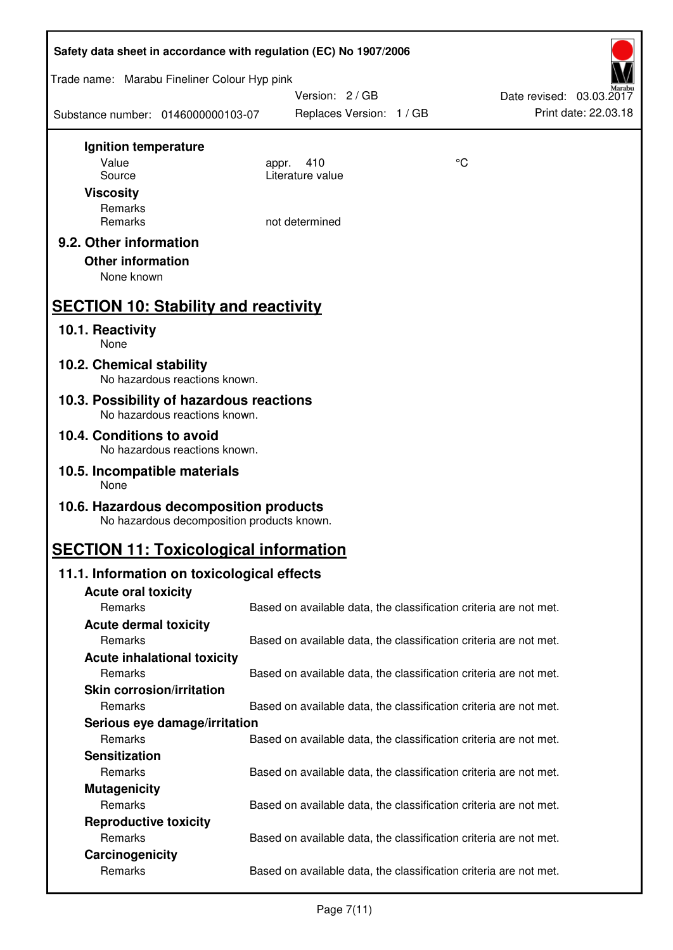| Safety data sheet in accordance with regulation (EC) No 1907/2006         |                                                                   |    |                                                  |  |  |
|---------------------------------------------------------------------------|-------------------------------------------------------------------|----|--------------------------------------------------|--|--|
| Trade name: Marabu Fineliner Colour Hyp pink                              |                                                                   |    |                                                  |  |  |
| Substance number: 0146000000103-07                                        | Version: 2/GB<br>Replaces Version: 1 / GB                         |    | Date revised: 03.03.2017<br>Print date: 22.03.18 |  |  |
| Ignition temperature                                                      |                                                                   |    |                                                  |  |  |
| Value                                                                     | 410<br>appr.                                                      | °C |                                                  |  |  |
| Source                                                                    | Literature value                                                  |    |                                                  |  |  |
| <b>Viscosity</b>                                                          |                                                                   |    |                                                  |  |  |
| Remarks<br>Remarks                                                        | not determined                                                    |    |                                                  |  |  |
| 9.2. Other information                                                    |                                                                   |    |                                                  |  |  |
| <b>Other information</b><br>None known                                    |                                                                   |    |                                                  |  |  |
|                                                                           |                                                                   |    |                                                  |  |  |
| <b>SECTION 10: Stability and reactivity</b>                               |                                                                   |    |                                                  |  |  |
| 10.1. Reactivity<br>None                                                  |                                                                   |    |                                                  |  |  |
| 10.2. Chemical stability<br>No hazardous reactions known.                 |                                                                   |    |                                                  |  |  |
| 10.3. Possibility of hazardous reactions<br>No hazardous reactions known. |                                                                   |    |                                                  |  |  |
| 10.4. Conditions to avoid<br>No hazardous reactions known.                |                                                                   |    |                                                  |  |  |
| 10.5. Incompatible materials<br>None                                      |                                                                   |    |                                                  |  |  |
| 10.6. Hazardous decomposition products                                    |                                                                   |    |                                                  |  |  |
| No hazardous decomposition products known.                                |                                                                   |    |                                                  |  |  |
| <b>SECTION 11: Toxicological information</b>                              |                                                                   |    |                                                  |  |  |
| 11.1. Information on toxicological effects                                |                                                                   |    |                                                  |  |  |
| <b>Acute oral toxicity</b>                                                |                                                                   |    |                                                  |  |  |
| Remarks                                                                   | Based on available data, the classification criteria are not met. |    |                                                  |  |  |
| <b>Acute dermal toxicity</b>                                              |                                                                   |    |                                                  |  |  |
| Remarks                                                                   | Based on available data, the classification criteria are not met. |    |                                                  |  |  |
| <b>Acute inhalational toxicity</b>                                        |                                                                   |    |                                                  |  |  |
| Remarks                                                                   | Based on available data, the classification criteria are not met. |    |                                                  |  |  |
| <b>Skin corrosion/irritation</b>                                          |                                                                   |    |                                                  |  |  |
| Remarks                                                                   | Based on available data, the classification criteria are not met. |    |                                                  |  |  |
| Serious eye damage/irritation                                             |                                                                   |    |                                                  |  |  |
| Remarks                                                                   | Based on available data, the classification criteria are not met. |    |                                                  |  |  |
| <b>Sensitization</b><br>Remarks                                           |                                                                   |    |                                                  |  |  |
|                                                                           | Based on available data, the classification criteria are not met. |    |                                                  |  |  |
| <b>Mutagenicity</b><br>Remarks                                            | Based on available data, the classification criteria are not met. |    |                                                  |  |  |
| <b>Reproductive toxicity</b>                                              |                                                                   |    |                                                  |  |  |
| Remarks                                                                   | Based on available data, the classification criteria are not met. |    |                                                  |  |  |
| Carcinogenicity                                                           |                                                                   |    |                                                  |  |  |
| Remarks                                                                   | Based on available data, the classification criteria are not met. |    |                                                  |  |  |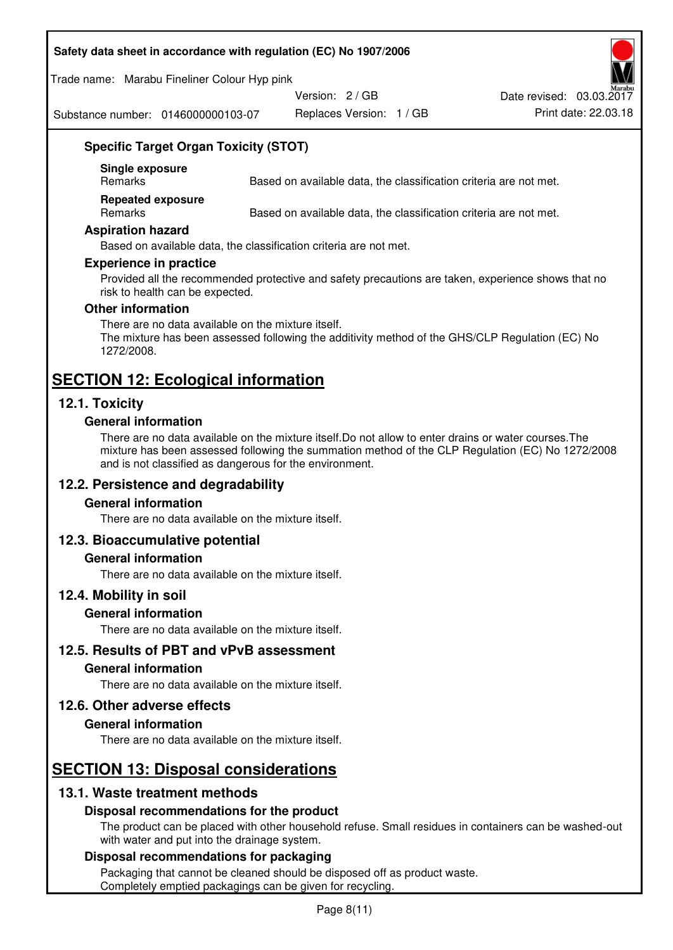#### **Safety data sheet in accordance with regulation (EC) No 1907/2006**

Trade name: Marabu Fineliner Colour Hyp pink

Version: 2 / GB

Substance number: 0146000000103-07

Replaces Version: 1 / GB Print date: 22.03.18 Date revised: 03.03.2017

## **Specific Target Organ Toxicity (STOT)**

**Single exposure** 

Based on available data, the classification criteria are not met.

**Repeated exposure** 

Remarks Based on available data, the classification criteria are not met.

#### **Aspiration hazard**

Based on available data, the classification criteria are not met.

#### **Experience in practice**

Provided all the recommended protective and safety precautions are taken, experience shows that no risk to health can be expected.

#### **Other information**

There are no data available on the mixture itself. The mixture has been assessed following the additivity method of the GHS/CLP Regulation (EC) No 1272/2008.

## **SECTION 12: Ecological information**

## **12.1. Toxicity**

#### **General information**

There are no data available on the mixture itself.Do not allow to enter drains or water courses.The mixture has been assessed following the summation method of the CLP Regulation (EC) No 1272/2008 and is not classified as dangerous for the environment.

## **12.2. Persistence and degradability**

#### **General information**

There are no data available on the mixture itself.

## **12.3. Bioaccumulative potential**

#### **General information**

There are no data available on the mixture itself.

#### **12.4. Mobility in soil**

#### **General information**

There are no data available on the mixture itself.

**12.5. Results of PBT and vPvB assessment** 

#### **General information**

There are no data available on the mixture itself.

#### **12.6. Other adverse effects**

#### **General information**

There are no data available on the mixture itself.

# **SECTION 13: Disposal considerations**

## **13.1. Waste treatment methods**

## **Disposal recommendations for the product**

The product can be placed with other household refuse. Small residues in containers can be washed-out with water and put into the drainage system.

#### **Disposal recommendations for packaging**

Packaging that cannot be cleaned should be disposed off as product waste. Completely emptied packagings can be given for recycling.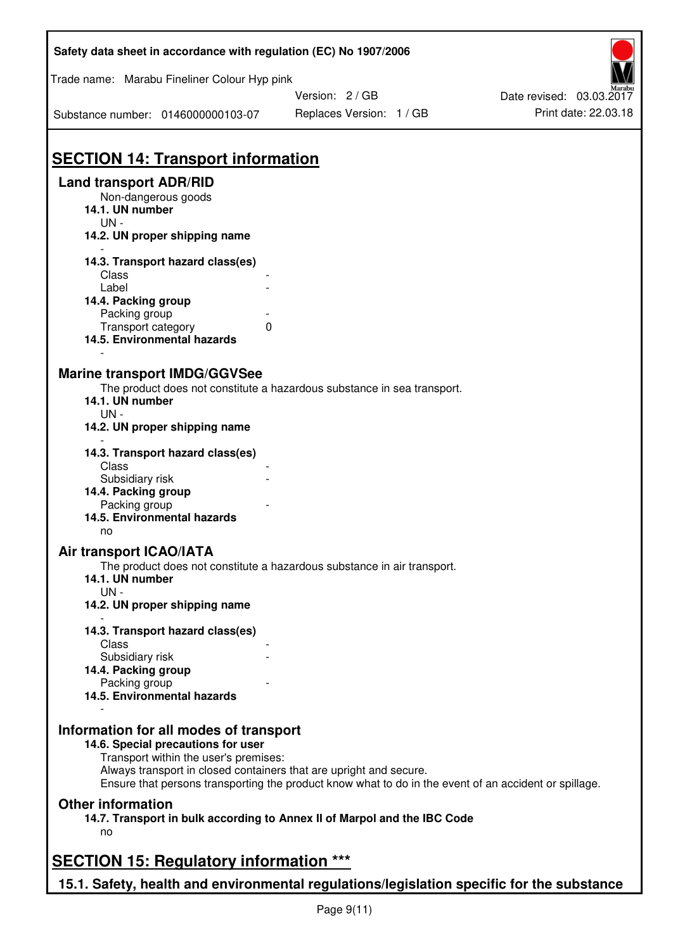| Safety data sheet in accordance with regulation (EC) No 1907/2006                                                     |                                                                                                                                                                             |                                                  |  |  |  |  |
|-----------------------------------------------------------------------------------------------------------------------|-----------------------------------------------------------------------------------------------------------------------------------------------------------------------------|--------------------------------------------------|--|--|--|--|
| Trade name: Marabu Fineliner Colour Hyp pink                                                                          |                                                                                                                                                                             |                                                  |  |  |  |  |
| Substance number: 0146000000103-07                                                                                    | Version: 2 / GB<br>Replaces Version: 1 / GB                                                                                                                                 | Date revised: 03.03.2017<br>Print date: 22.03.18 |  |  |  |  |
|                                                                                                                       |                                                                                                                                                                             |                                                  |  |  |  |  |
| <b>SECTION 14: Transport information</b>                                                                              |                                                                                                                                                                             |                                                  |  |  |  |  |
| <b>Land transport ADR/RID</b>                                                                                         |                                                                                                                                                                             |                                                  |  |  |  |  |
| Non-dangerous goods<br>14.1. UN number<br>$UN -$                                                                      |                                                                                                                                                                             |                                                  |  |  |  |  |
| 14.2. UN proper shipping name                                                                                         |                                                                                                                                                                             |                                                  |  |  |  |  |
| 14.3. Transport hazard class(es)                                                                                      |                                                                                                                                                                             |                                                  |  |  |  |  |
| Class<br>Label                                                                                                        |                                                                                                                                                                             |                                                  |  |  |  |  |
| 14.4. Packing group                                                                                                   |                                                                                                                                                                             |                                                  |  |  |  |  |
| Packing group                                                                                                         |                                                                                                                                                                             |                                                  |  |  |  |  |
| Transport category<br>14.5. Environmental hazards                                                                     | $\Omega$                                                                                                                                                                    |                                                  |  |  |  |  |
|                                                                                                                       |                                                                                                                                                                             |                                                  |  |  |  |  |
| <b>Marine transport IMDG/GGVSee</b><br>14.1. UN number<br>$UN -$                                                      | The product does not constitute a hazardous substance in sea transport.                                                                                                     |                                                  |  |  |  |  |
| 14.2. UN proper shipping name                                                                                         |                                                                                                                                                                             |                                                  |  |  |  |  |
| 14.3. Transport hazard class(es)<br>Class                                                                             |                                                                                                                                                                             |                                                  |  |  |  |  |
| Subsidiary risk<br>14.4. Packing group                                                                                |                                                                                                                                                                             |                                                  |  |  |  |  |
| Packing group                                                                                                         |                                                                                                                                                                             |                                                  |  |  |  |  |
| 14.5. Environmental hazards<br>no                                                                                     |                                                                                                                                                                             |                                                  |  |  |  |  |
| Air transport ICAO/IATA                                                                                               |                                                                                                                                                                             |                                                  |  |  |  |  |
| 14.1. UN number<br>$UN -$                                                                                             | The product does not constitute a hazardous substance in air transport.                                                                                                     |                                                  |  |  |  |  |
| 14.2. UN proper shipping name                                                                                         |                                                                                                                                                                             |                                                  |  |  |  |  |
| 14.3. Transport hazard class(es)                                                                                      |                                                                                                                                                                             |                                                  |  |  |  |  |
| Class                                                                                                                 |                                                                                                                                                                             |                                                  |  |  |  |  |
| Subsidiary risk                                                                                                       |                                                                                                                                                                             |                                                  |  |  |  |  |
| 14.4. Packing group<br>Packing group                                                                                  |                                                                                                                                                                             |                                                  |  |  |  |  |
| 14.5. Environmental hazards                                                                                           |                                                                                                                                                                             |                                                  |  |  |  |  |
| Information for all modes of transport<br>14.6. Special precautions for user<br>Transport within the user's premises: | Always transport in closed containers that are upright and secure.<br>Ensure that persons transporting the product know what to do in the event of an accident or spillage. |                                                  |  |  |  |  |
| <b>Other information</b>                                                                                              |                                                                                                                                                                             |                                                  |  |  |  |  |
| no                                                                                                                    | 14.7. Transport in bulk according to Annex II of Marpol and the IBC Code                                                                                                    |                                                  |  |  |  |  |
| <b>SECTION 15: Regulatory information ***</b>                                                                         |                                                                                                                                                                             |                                                  |  |  |  |  |
| 15.1. Safety, health and environmental regulations/legislation specific for the substance                             |                                                                                                                                                                             |                                                  |  |  |  |  |
|                                                                                                                       |                                                                                                                                                                             |                                                  |  |  |  |  |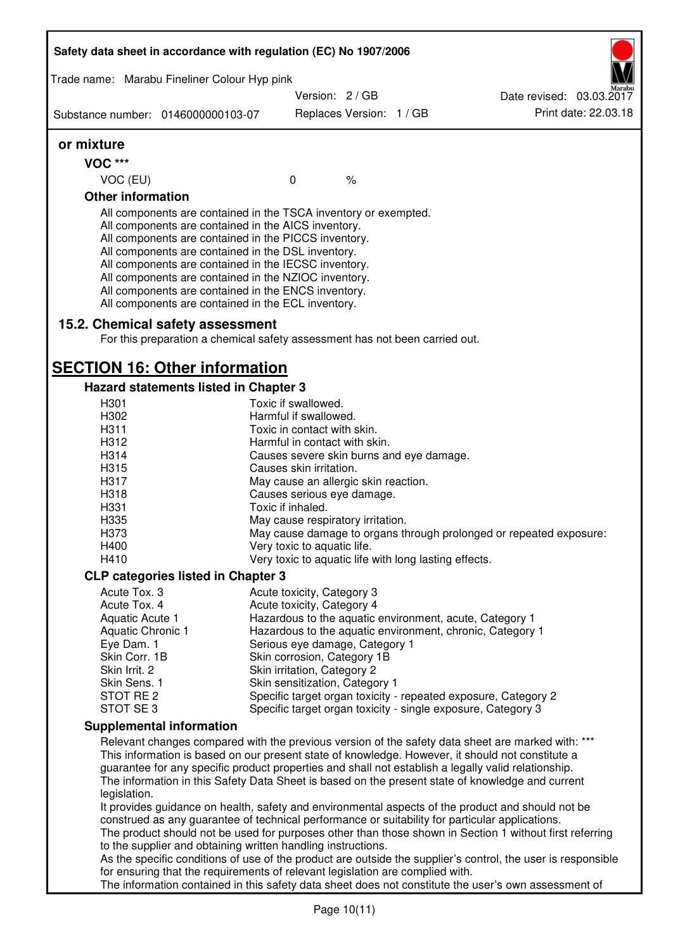| Safety data sheet in accordance with regulation (EC) No 1907/2006 |                                                                                                                                                                                                                                                                                                                                                                                                                                                                   |                                                               |               |                                                                                                                                                                                                                                                                                                                 |
|-------------------------------------------------------------------|-------------------------------------------------------------------------------------------------------------------------------------------------------------------------------------------------------------------------------------------------------------------------------------------------------------------------------------------------------------------------------------------------------------------------------------------------------------------|---------------------------------------------------------------|---------------|-----------------------------------------------------------------------------------------------------------------------------------------------------------------------------------------------------------------------------------------------------------------------------------------------------------------|
| Trade name: Marabu Fineliner Colour Hyp pink                      |                                                                                                                                                                                                                                                                                                                                                                                                                                                                   |                                                               |               |                                                                                                                                                                                                                                                                                                                 |
|                                                                   |                                                                                                                                                                                                                                                                                                                                                                                                                                                                   | Version: 2 / GB                                               |               | Date revised: 03.03.2017                                                                                                                                                                                                                                                                                        |
| Substance number: 0146000000103-07                                |                                                                                                                                                                                                                                                                                                                                                                                                                                                                   | Replaces Version: 1 / GB                                      |               | Print date: 22.03.18                                                                                                                                                                                                                                                                                            |
| or mixture                                                        |                                                                                                                                                                                                                                                                                                                                                                                                                                                                   |                                                               |               |                                                                                                                                                                                                                                                                                                                 |
| <b>VOC ***</b>                                                    |                                                                                                                                                                                                                                                                                                                                                                                                                                                                   |                                                               |               |                                                                                                                                                                                                                                                                                                                 |
| VOC (EU)                                                          |                                                                                                                                                                                                                                                                                                                                                                                                                                                                   | $\mathbf{0}$                                                  | $\frac{1}{6}$ |                                                                                                                                                                                                                                                                                                                 |
| <b>Other information</b>                                          |                                                                                                                                                                                                                                                                                                                                                                                                                                                                   |                                                               |               |                                                                                                                                                                                                                                                                                                                 |
| 15.2. Chemical safety assessment                                  | All components are contained in the TSCA inventory or exempted.<br>All components are contained in the AICS inventory.<br>All components are contained in the PICCS inventory.<br>All components are contained in the DSL inventory.<br>All components are contained in the IECSC inventory.<br>All components are contained in the NZIOC inventory.<br>All components are contained in the ENCS inventory.<br>All components are contained in the ECL inventory. |                                                               |               |                                                                                                                                                                                                                                                                                                                 |
|                                                                   | For this preparation a chemical safety assessment has not been carried out.                                                                                                                                                                                                                                                                                                                                                                                       |                                                               |               |                                                                                                                                                                                                                                                                                                                 |
| <b>SECTION 16: Other information</b>                              |                                                                                                                                                                                                                                                                                                                                                                                                                                                                   |                                                               |               |                                                                                                                                                                                                                                                                                                                 |
| Hazard statements listed in Chapter 3                             |                                                                                                                                                                                                                                                                                                                                                                                                                                                                   |                                                               |               |                                                                                                                                                                                                                                                                                                                 |
| H301                                                              |                                                                                                                                                                                                                                                                                                                                                                                                                                                                   | Toxic if swallowed.                                           |               |                                                                                                                                                                                                                                                                                                                 |
| H302                                                              |                                                                                                                                                                                                                                                                                                                                                                                                                                                                   | Harmful if swallowed.                                         |               |                                                                                                                                                                                                                                                                                                                 |
| H311<br>H312                                                      |                                                                                                                                                                                                                                                                                                                                                                                                                                                                   | Toxic in contact with skin.<br>Harmful in contact with skin.  |               |                                                                                                                                                                                                                                                                                                                 |
| H314                                                              |                                                                                                                                                                                                                                                                                                                                                                                                                                                                   | Causes severe skin burns and eye damage.                      |               |                                                                                                                                                                                                                                                                                                                 |
| H315                                                              |                                                                                                                                                                                                                                                                                                                                                                                                                                                                   | Causes skin irritation.                                       |               |                                                                                                                                                                                                                                                                                                                 |
| H317                                                              |                                                                                                                                                                                                                                                                                                                                                                                                                                                                   | May cause an allergic skin reaction.                          |               |                                                                                                                                                                                                                                                                                                                 |
| H318                                                              |                                                                                                                                                                                                                                                                                                                                                                                                                                                                   | Causes serious eye damage.                                    |               |                                                                                                                                                                                                                                                                                                                 |
| H331                                                              |                                                                                                                                                                                                                                                                                                                                                                                                                                                                   | Toxic if inhaled.                                             |               |                                                                                                                                                                                                                                                                                                                 |
| H335                                                              |                                                                                                                                                                                                                                                                                                                                                                                                                                                                   | May cause respiratory irritation.                             |               |                                                                                                                                                                                                                                                                                                                 |
| H373                                                              |                                                                                                                                                                                                                                                                                                                                                                                                                                                                   |                                                               |               | May cause damage to organs through prolonged or repeated exposure:                                                                                                                                                                                                                                              |
| H400                                                              |                                                                                                                                                                                                                                                                                                                                                                                                                                                                   | Very toxic to aquatic life.                                   |               |                                                                                                                                                                                                                                                                                                                 |
| H410                                                              |                                                                                                                                                                                                                                                                                                                                                                                                                                                                   | Very toxic to aquatic life with long lasting effects.         |               |                                                                                                                                                                                                                                                                                                                 |
| <b>CLP categories listed in Chapter 3</b>                         |                                                                                                                                                                                                                                                                                                                                                                                                                                                                   |                                                               |               |                                                                                                                                                                                                                                                                                                                 |
| Acute Tox. 3                                                      |                                                                                                                                                                                                                                                                                                                                                                                                                                                                   | Acute toxicity, Category 3                                    |               |                                                                                                                                                                                                                                                                                                                 |
| Acute Tox. 4                                                      |                                                                                                                                                                                                                                                                                                                                                                                                                                                                   | Acute toxicity, Category 4                                    |               |                                                                                                                                                                                                                                                                                                                 |
| Aquatic Acute 1                                                   |                                                                                                                                                                                                                                                                                                                                                                                                                                                                   |                                                               |               | Hazardous to the aquatic environment, acute, Category 1                                                                                                                                                                                                                                                         |
| <b>Aquatic Chronic 1</b>                                          |                                                                                                                                                                                                                                                                                                                                                                                                                                                                   |                                                               |               | Hazardous to the aquatic environment, chronic, Category 1                                                                                                                                                                                                                                                       |
| Eye Dam. 1<br>Skin Corr. 1B                                       |                                                                                                                                                                                                                                                                                                                                                                                                                                                                   | Serious eye damage, Category 1<br>Skin corrosion, Category 1B |               |                                                                                                                                                                                                                                                                                                                 |
| Skin Irrit. 2                                                     |                                                                                                                                                                                                                                                                                                                                                                                                                                                                   | Skin irritation, Category 2                                   |               |                                                                                                                                                                                                                                                                                                                 |
| Skin Sens. 1                                                      |                                                                                                                                                                                                                                                                                                                                                                                                                                                                   | Skin sensitization, Category 1                                |               |                                                                                                                                                                                                                                                                                                                 |
| STOT RE 2                                                         |                                                                                                                                                                                                                                                                                                                                                                                                                                                                   |                                                               |               | Specific target organ toxicity - repeated exposure, Category 2                                                                                                                                                                                                                                                  |
| STOT SE3                                                          |                                                                                                                                                                                                                                                                                                                                                                                                                                                                   |                                                               |               | Specific target organ toxicity - single exposure, Category 3                                                                                                                                                                                                                                                    |
| <b>Supplemental information</b>                                   |                                                                                                                                                                                                                                                                                                                                                                                                                                                                   |                                                               |               |                                                                                                                                                                                                                                                                                                                 |
|                                                                   |                                                                                                                                                                                                                                                                                                                                                                                                                                                                   |                                                               |               | Relevant changes compared with the previous version of the safety data sheet are marked with: ***                                                                                                                                                                                                               |
| legislation.                                                      |                                                                                                                                                                                                                                                                                                                                                                                                                                                                   |                                                               |               | This information is based on our present state of knowledge. However, it should not constitute a<br>guarantee for any specific product properties and shall not establish a legally valid relationship.<br>The information in this Safety Data Sheet is based on the present state of knowledge and current     |
|                                                                   | to the supplier and obtaining written handling instructions.                                                                                                                                                                                                                                                                                                                                                                                                      |                                                               |               | It provides guidance on health, safety and environmental aspects of the product and should not be<br>construed as any guarantee of technical performance or suitability for particular applications.<br>The product should not be used for purposes other than those shown in Section 1 without first referring |
|                                                                   |                                                                                                                                                                                                                                                                                                                                                                                                                                                                   |                                                               |               | As the specific conditions of use of the product are outside the supplier's control, the user is responsible                                                                                                                                                                                                    |
|                                                                   | for ensuring that the requirements of relevant legislation are complied with.                                                                                                                                                                                                                                                                                                                                                                                     |                                                               |               | The information contained in this safety data sheet does not constitute the user's own assessment of                                                                                                                                                                                                            |